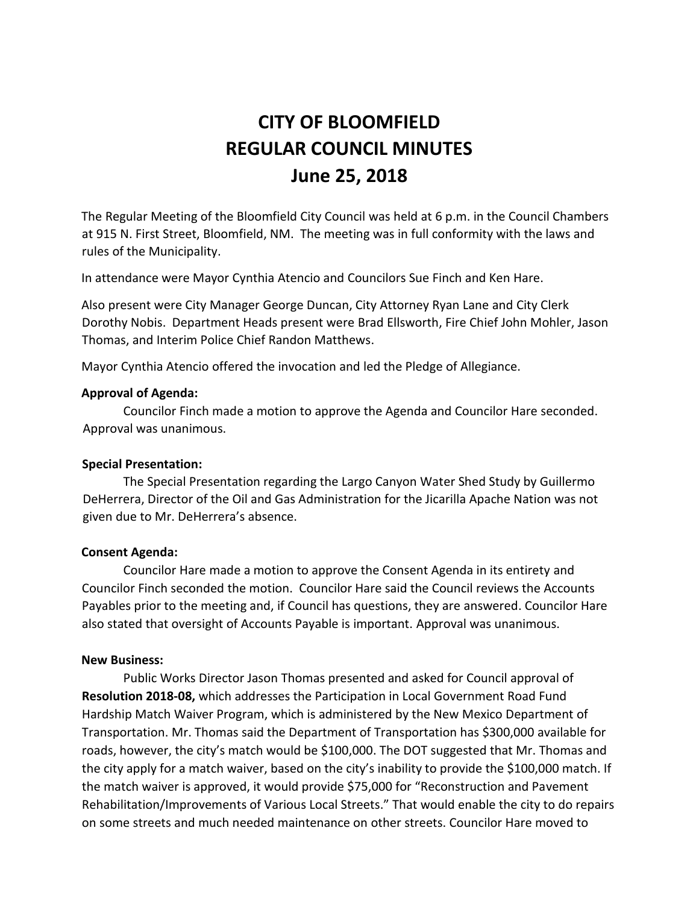# **CITY OF BLOOMFIELD REGULAR COUNCIL MINUTES June 25, 2018**

The Regular Meeting of the Bloomfield City Council was held at 6 p.m. in the Council Chambers at 915 N. First Street, Bloomfield, NM. The meeting was in full conformity with the laws and rules of the Municipality.

In attendance were Mayor Cynthia Atencio and Councilors Sue Finch and Ken Hare.

Also present were City Manager George Duncan, City Attorney Ryan Lane and City Clerk Dorothy Nobis. Department Heads present were Brad Ellsworth, Fire Chief John Mohler, Jason Thomas, and Interim Police Chief Randon Matthews.

Mayor Cynthia Atencio offered the invocation and led the Pledge of Allegiance.

#### **Approval of Agenda:**

Councilor Finch made a motion to approve the Agenda and Councilor Hare seconded. Approval was unanimous.

## **Special Presentation:**

The Special Presentation regarding the Largo Canyon Water Shed Study by Guillermo DeHerrera, Director of the Oil and Gas Administration for the Jicarilla Apache Nation was not given due to Mr. DeHerrera's absence.

## **Consent Agenda:**

Councilor Hare made a motion to approve the Consent Agenda in its entirety and Councilor Finch seconded the motion. Councilor Hare said the Council reviews the Accounts Payables prior to the meeting and, if Council has questions, they are answered. Councilor Hare also stated that oversight of Accounts Payable is important. Approval was unanimous.

## **New Business:**

Public Works Director Jason Thomas presented and asked for Council approval of **Resolution 2018-08,** which addresses the Participation in Local Government Road Fund Hardship Match Waiver Program, which is administered by the New Mexico Department of Transportation. Mr. Thomas said the Department of Transportation has \$300,000 available for roads, however, the city's match would be \$100,000. The DOT suggested that Mr. Thomas and the city apply for a match waiver, based on the city's inability to provide the \$100,000 match. If the match waiver is approved, it would provide \$75,000 for "Reconstruction and Pavement Rehabilitation/Improvements of Various Local Streets." That would enable the city to do repairs on some streets and much needed maintenance on other streets. Councilor Hare moved to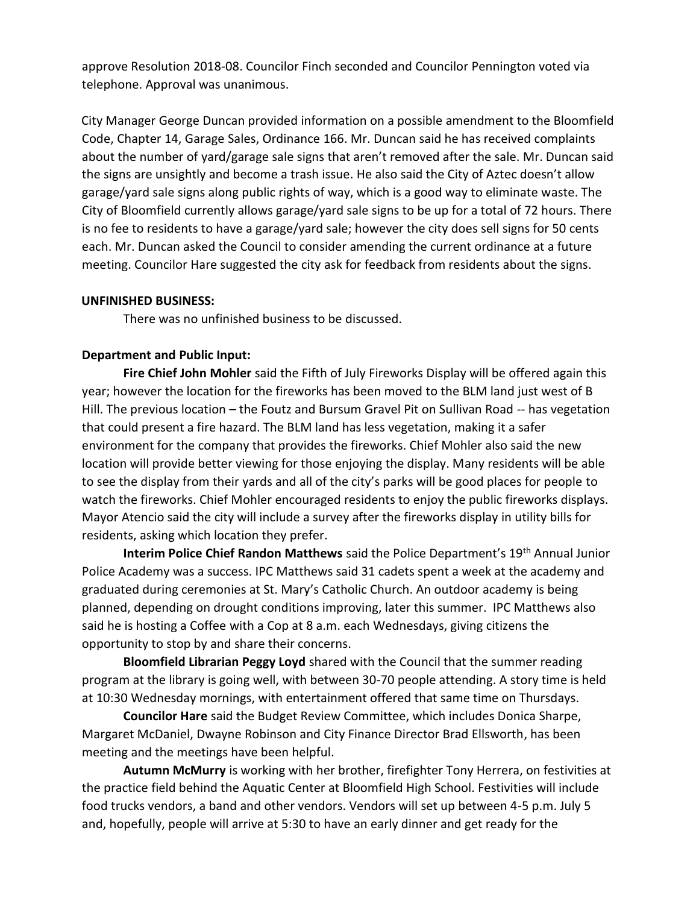approve Resolution 2018-08. Councilor Finch seconded and Councilor Pennington voted via telephone. Approval was unanimous.

City Manager George Duncan provided information on a possible amendment to the Bloomfield Code, Chapter 14, Garage Sales, Ordinance 166. Mr. Duncan said he has received complaints about the number of yard/garage sale signs that aren't removed after the sale. Mr. Duncan said the signs are unsightly and become a trash issue. He also said the City of Aztec doesn't allow garage/yard sale signs along public rights of way, which is a good way to eliminate waste. The City of Bloomfield currently allows garage/yard sale signs to be up for a total of 72 hours. There is no fee to residents to have a garage/yard sale; however the city does sell signs for 50 cents each. Mr. Duncan asked the Council to consider amending the current ordinance at a future meeting. Councilor Hare suggested the city ask for feedback from residents about the signs.

## **UNFINISHED BUSINESS:**

There was no unfinished business to be discussed.

#### **Department and Public Input:**

**Fire Chief John Mohler** said the Fifth of July Fireworks Display will be offered again this year; however the location for the fireworks has been moved to the BLM land just west of B Hill. The previous location – the Foutz and Bursum Gravel Pit on Sullivan Road -- has vegetation that could present a fire hazard. The BLM land has less vegetation, making it a safer environment for the company that provides the fireworks. Chief Mohler also said the new location will provide better viewing for those enjoying the display. Many residents will be able to see the display from their yards and all of the city's parks will be good places for people to watch the fireworks. Chief Mohler encouraged residents to enjoy the public fireworks displays. Mayor Atencio said the city will include a survey after the fireworks display in utility bills for residents, asking which location they prefer.

**Interim Police Chief Randon Matthews** said the Police Department's 19<sup>th</sup> Annual Junior Police Academy was a success. IPC Matthews said 31 cadets spent a week at the academy and graduated during ceremonies at St. Mary's Catholic Church. An outdoor academy is being planned, depending on drought conditions improving, later this summer. IPC Matthews also said he is hosting a Coffee with a Cop at 8 a.m. each Wednesdays, giving citizens the opportunity to stop by and share their concerns.

**Bloomfield Librarian Peggy Loyd** shared with the Council that the summer reading program at the library is going well, with between 30-70 people attending. A story time is held at 10:30 Wednesday mornings, with entertainment offered that same time on Thursdays.

**Councilor Hare** said the Budget Review Committee, which includes Donica Sharpe, Margaret McDaniel, Dwayne Robinson and City Finance Director Brad Ellsworth, has been meeting and the meetings have been helpful.

**Autumn McMurry** is working with her brother, firefighter Tony Herrera, on festivities at the practice field behind the Aquatic Center at Bloomfield High School. Festivities will include food trucks vendors, a band and other vendors. Vendors will set up between 4-5 p.m. July 5 and, hopefully, people will arrive at 5:30 to have an early dinner and get ready for the